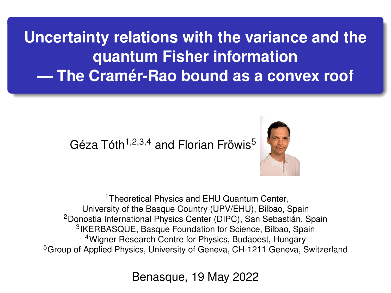**Uncertainty relations with the variance and the quantum Fisher information — The Cramér-Rao bound as a convex roof**

## Géza Tóth<sup>1,2,3,4</sup> and Florian Fröwis<sup>5</sup>



<sup>1</sup>Theoretical Physics and EHU Quantum Center, University of the Basque Country (UPV/EHU), Bilbao, Spain <sup>2</sup>Donostia International Physics Center (DIPC), San Sebastián, Spain 3 IKERBASQUE, Basque Foundation for Science, Bilbao, Spain <sup>4</sup> Wigner Research Centre for Physics, Budapest, Hungary <sup>5</sup> Group of Applied Physics, University of Geneva, CH-1211 Geneva, Switzerland

Benasque, 19 May 2022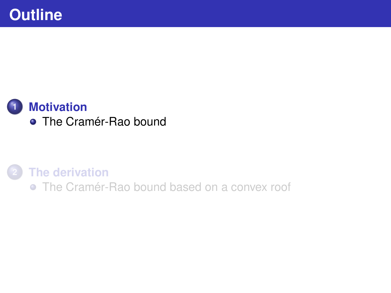<span id="page-1-0"></span>

**2 [The derivation](#page-3-0)** [The Cramér-Rao bound based on a convex roof](#page-3-0)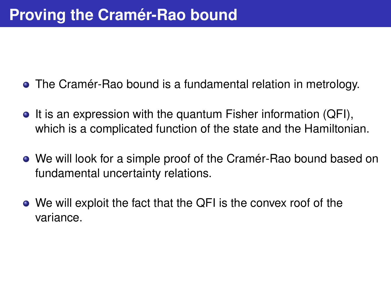- The Cramér-Rao bound is a fundamental relation in metrology.
- $\bullet$  It is an expression with the quantum Fisher information (QFI), which is a complicated function of the state and the Hamiltonian.
- We will look for a simple proof of the Cramér-Rao bound based on fundamental uncertainty relations.
- We will exploit the fact that the QFI is the convex roof of the variance.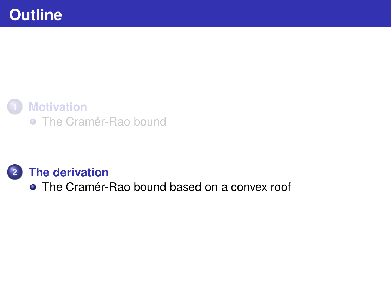<span id="page-3-0"></span>

#### **1 [Motivation](#page-1-0)**

• [The Cramér-Rao bound](#page-1-0)

#### **2 [The derivation](#page-3-0)**

• [The Cramér-Rao bound based on a convex roof](#page-3-0)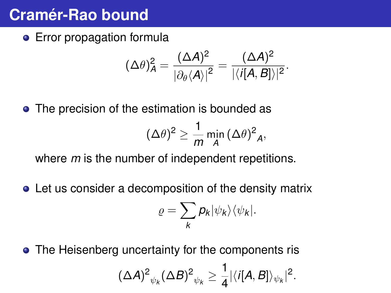## **Cramér-Rao bound**

**•** Error propagation formula

$$
(\Delta \theta)_A^2 = \frac{(\Delta A)^2}{\left|\partial_\theta \langle A\rangle\right|^2} = \frac{(\Delta A)^2}{\left|\langle i[A,B]\rangle\right|^2}.
$$

• The precision of the estimation is bounded as

$$
(\Delta \theta)^2 \ge \frac{1}{m} \min_A (\Delta \theta)^2_A,
$$

where *m* is the number of independent repetitions.

Let us consider a decomposition of the density matrix

$$
\varrho=\sum_{k}p_{k}|\psi_{k}\rangle\langle\psi_{k}|.
$$

• The Heisenberg uncertainty for the components ris  $\left( \Delta {\cal A}\right)^2_{\psi_k} \! \left( \Delta B \right)^2_{\psi_k} \geq \frac{1}{4}$  $\frac{1}{4}|\langle i[A,B]\rangle_{\psi_k}|^2$ .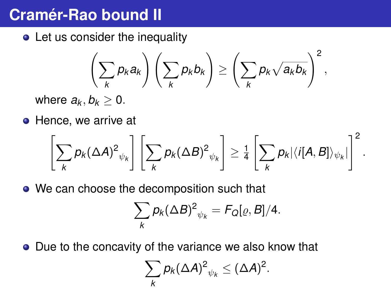# **Cramér-Rao bound II**

• Let us consider the inequality

$$
\left(\sum_{k}p_{k}a_{k}\right)\left(\sum_{k}p_{k}b_{k}\right)\geq\left(\sum_{k}p_{k}\sqrt{a_{k}b_{k}}\right)^{2},
$$

where  $a_k, b_k \geq 0$ .

**•** Hence, we arrive at

$$
\left[\sum_{k}p_{k}(\Delta A)^{2}_{\psi_{k}}\right]\left[\sum_{k}p_{k}(\Delta B)^{2}_{\psi_{k}}\right] \geq \frac{1}{4}\left[\sum_{k}p_{k}|\langle i[A,B]\rangle_{\psi_{k}}|\right]^{2}.
$$

• We can choose the decomposition such that

$$
\sum_{k} p_k (\Delta B)^2_{\psi_k} = F_Q[\varrho, B]/4.
$$

• Due to the concavity of the variance we also know that

$$
\sum_{k} p_{k} (\Delta A)^{2}_{\psi_{k}} \leq (\Delta A)^{2}.
$$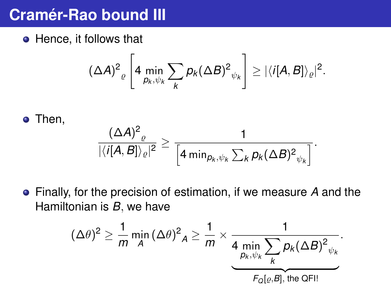## **Cramér-Rao bound III**

• Hence, it follows that

$$
(\Delta A)^2 \bigg[4 \min_{p_k, \psi_k} \sum_k p_k (\Delta B)^2 \psi_k\bigg] \geq |\langle i[A, B]\rangle_{\varrho}|^2.
$$

Then,

$$
\frac{(\Delta A)^2_{\varrho}}{|\langle i[A,B]\rangle_{\varrho}|^2}\geq \frac{1}{\left[4\min_{\rho_k,\psi_k}\sum_k p_k(\Delta B)^2_{\psi_k}\right]}.
$$

Finally, for the precision of estimation, if we measure *A* and the Hamiltonian is *B*, we have

$$
(\Delta \theta)^2 \ge \frac{1}{m} \min_A (\Delta \theta)^2_A \ge \frac{1}{m} \times \underbrace{\frac{1}{4 \min_{p_k, \psi_k} \sum_k p_k (\Delta B)^2}_{F_Q[\varrho, \theta], \text{ the QFI}}}.
$$